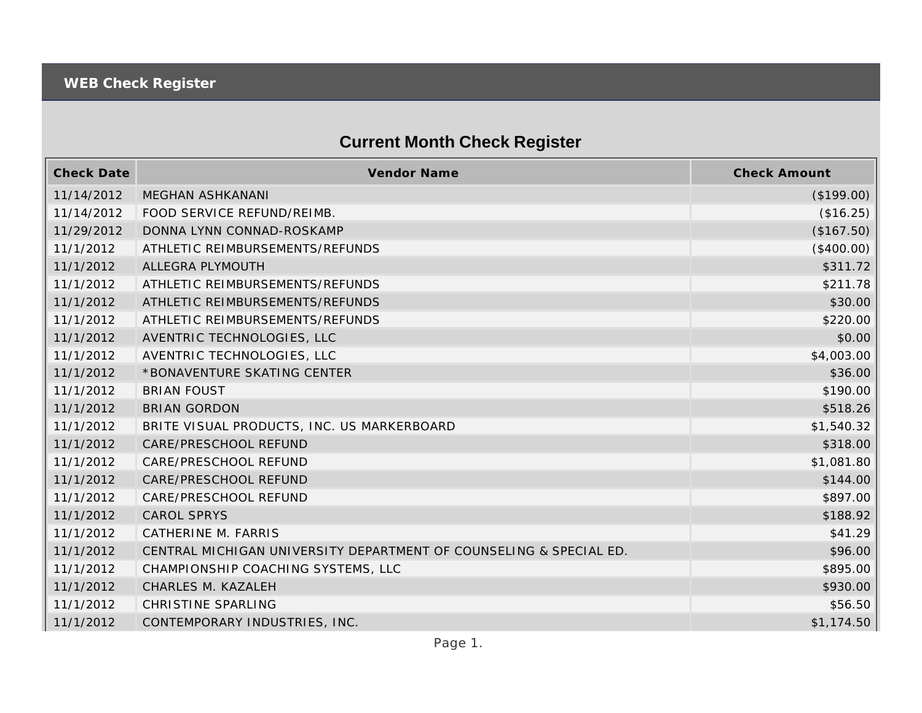## **Current Month Check Register**

| <b>Check Date</b> | <b>Vendor Name</b>                                                 | <b>Check Amount</b> |
|-------------------|--------------------------------------------------------------------|---------------------|
| 11/14/2012        | <b>MEGHAN ASHKANANI</b>                                            | (\$199.00)          |
| 11/14/2012        | FOOD SERVICE REFUND/REIMB.                                         | (\$16.25)           |
| 11/29/2012        | DONNA LYNN CONNAD-ROSKAMP                                          | (\$167.50)          |
| 11/1/2012         | ATHLETIC REIMBURSEMENTS/REFUNDS                                    | (\$400.00)          |
| 11/1/2012         | ALLEGRA PLYMOUTH                                                   | \$311.72            |
| 11/1/2012         | ATHLETIC REIMBURSEMENTS/REFUNDS                                    | \$211.78            |
| 11/1/2012         | ATHLETIC REIMBURSEMENTS/REFUNDS                                    | \$30.00             |
| 11/1/2012         | ATHLETIC REIMBURSEMENTS/REFUNDS                                    | \$220.00            |
| 11/1/2012         | AVENTRIC TECHNOLOGIES, LLC                                         | \$0.00              |
| 11/1/2012         | AVENTRIC TECHNOLOGIES, LLC                                         | \$4,003.00          |
| 11/1/2012         | *BONAVENTURE SKATING CENTER                                        | \$36.00             |
| 11/1/2012         | <b>BRIAN FOUST</b>                                                 | \$190.00            |
| 11/1/2012         | <b>BRIAN GORDON</b>                                                | \$518.26            |
| 11/1/2012         | BRITE VISUAL PRODUCTS, INC. US MARKERBOARD                         | \$1,540.32          |
| 11/1/2012         | CARE/PRESCHOOL REFUND                                              | \$318.00            |
| 11/1/2012         | CARE/PRESCHOOL REFUND                                              | \$1,081.80          |
| 11/1/2012         | CARE/PRESCHOOL REFUND                                              | \$144.00            |
| 11/1/2012         | CARE/PRESCHOOL REFUND                                              | \$897.00            |
| 11/1/2012         | <b>CAROL SPRYS</b>                                                 | \$188.92            |
| 11/1/2012         | CATHERINE M. FARRIS                                                | \$41.29             |
| 11/1/2012         | CENTRAL MICHIGAN UNIVERSITY DEPARTMENT OF COUNSELING & SPECIAL ED. | \$96.00             |
| 11/1/2012         | CHAMPIONSHIP COACHING SYSTEMS, LLC                                 | \$895.00            |
| 11/1/2012         | CHARLES M. KAZALEH                                                 | \$930.00            |
| 11/1/2012         | CHRISTINE SPARLING                                                 | \$56.50             |
| 11/1/2012         | CONTEMPORARY INDUSTRIES, INC.                                      | \$1,174.50          |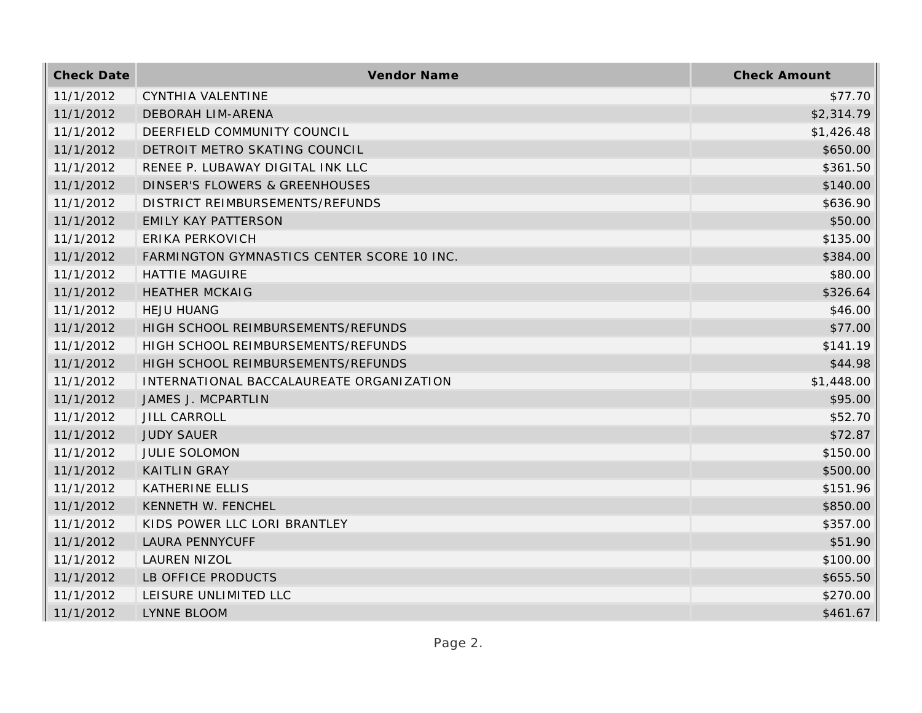| <b>Check Date</b> | Vendor Name                                | <b>Check Amount</b> |
|-------------------|--------------------------------------------|---------------------|
| 11/1/2012         | CYNTHIA VALENTINE                          | \$77.70             |
| 11/1/2012         | <b>DEBORAH LIM-ARENA</b>                   | \$2,314.79          |
| 11/1/2012         | DEERFIELD COMMUNITY COUNCIL                | \$1,426.48          |
| 11/1/2012         | DETROIT METRO SKATING COUNCIL              | \$650.00            |
| 11/1/2012         | RENEE P. LUBAWAY DIGITAL INK LLC           | \$361.50            |
| 11/1/2012         | <b>DINSER'S FLOWERS &amp; GREENHOUSES</b>  | \$140.00            |
| 11/1/2012         | DISTRICT REIMBURSEMENTS/REFUNDS            | \$636.90            |
| 11/1/2012         | <b>EMILY KAY PATTERSON</b>                 | \$50.00             |
| 11/1/2012         | ERIKA PERKOVICH                            | \$135.00            |
| 11/1/2012         | FARMINGTON GYMNASTICS CENTER SCORE 10 INC. | \$384.00            |
| 11/1/2012         | <b>HATTIE MAGUIRE</b>                      | \$80.00             |
| 11/1/2012         | <b>HEATHER MCKAIG</b>                      | \$326.64            |
| 11/1/2012         | <b>HEJU HUANG</b>                          | \$46.00             |
| 11/1/2012         | HIGH SCHOOL REIMBURSEMENTS/REFUNDS         | \$77.00             |
| 11/1/2012         | HIGH SCHOOL REIMBURSEMENTS/REFUNDS         | \$141.19            |
| 11/1/2012         | HIGH SCHOOL REIMBURSEMENTS/REFUNDS         | \$44.98             |
| 11/1/2012         | INTERNATIONAL BACCALAUREATE ORGANIZATION   | \$1,448.00          |
| 11/1/2012         | JAMES J. MCPARTLIN                         | \$95.00             |
| 11/1/2012         | <b>JILL CARROLL</b>                        | \$52.70             |
| 11/1/2012         | <b>JUDY SAUER</b>                          | \$72.87             |
| 11/1/2012         | <b>JULIE SOLOMON</b>                       | \$150.00            |
| 11/1/2012         | <b>KAITLIN GRAY</b>                        | \$500.00            |
| 11/1/2012         | <b>KATHERINE ELLIS</b>                     | \$151.96            |
| 11/1/2012         | KENNETH W. FENCHEL                         | \$850.00            |
| 11/1/2012         | KIDS POWER LLC LORI BRANTLEY               | \$357.00            |
| 11/1/2012         | <b>LAURA PENNYCUFF</b>                     | \$51.90             |
| 11/1/2012         | <b>LAUREN NIZOL</b>                        | \$100.00            |
| 11/1/2012         | LB OFFICE PRODUCTS                         | \$655.50            |
| 11/1/2012         | LEISURE UNLIMITED LLC                      | \$270.00            |
| 11/1/2012         | LYNNE BLOOM                                | \$461.67            |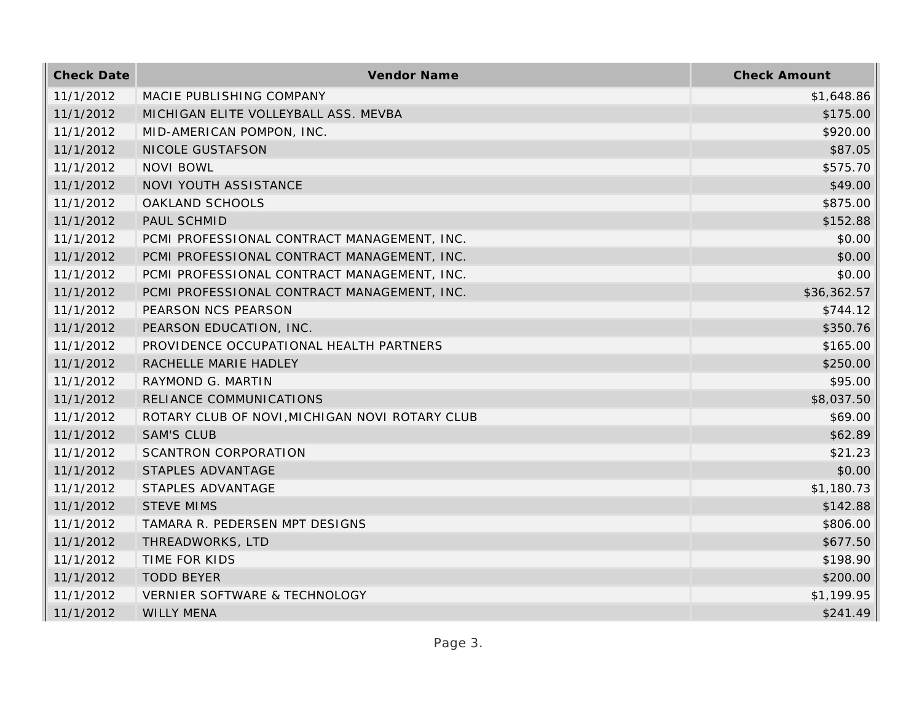| <b>Check Date</b> | Vendor Name                                    | <b>Check Amount</b> |
|-------------------|------------------------------------------------|---------------------|
| 11/1/2012         | MACIE PUBLISHING COMPANY                       | \$1,648.86          |
| 11/1/2012         | MICHIGAN ELITE VOLLEYBALL ASS. MEVBA           | \$175.00            |
| 11/1/2012         | MID-AMERICAN POMPON, INC.                      | \$920.00            |
| 11/1/2012         | NICOLE GUSTAFSON                               | \$87.05             |
| 11/1/2012         | <b>NOVI BOWL</b>                               | \$575.70            |
| 11/1/2012         | NOVI YOUTH ASSISTANCE                          | \$49.00             |
| 11/1/2012         | OAKLAND SCHOOLS                                | \$875.00            |
| 11/1/2012         | PAUL SCHMID                                    | \$152.88            |
| 11/1/2012         | PCMI PROFESSIONAL CONTRACT MANAGEMENT, INC.    | \$0.00              |
| 11/1/2012         | PCMI PROFESSIONAL CONTRACT MANAGEMENT, INC.    | \$0.00              |
| 11/1/2012         | PCMI PROFESSIONAL CONTRACT MANAGEMENT, INC.    | \$0.00              |
| 11/1/2012         | PCMI PROFESSIONAL CONTRACT MANAGEMENT, INC.    | \$36,362.57         |
| 11/1/2012         | PEARSON NCS PEARSON                            | \$744.12            |
| 11/1/2012         | PEARSON EDUCATION, INC.                        | \$350.76            |
| 11/1/2012         | PROVIDENCE OCCUPATIONAL HEALTH PARTNERS        | \$165.00            |
| 11/1/2012         | RACHELLE MARIE HADLEY                          | \$250.00            |
| 11/1/2012         | RAYMOND G. MARTIN                              | \$95.00             |
| 11/1/2012         | RELIANCE COMMUNICATIONS                        | \$8,037.50          |
| 11/1/2012         | ROTARY CLUB OF NOVI, MICHIGAN NOVI ROTARY CLUB | \$69.00             |
| 11/1/2012         | <b>SAM'S CLUB</b>                              | \$62.89             |
| 11/1/2012         | <b>SCANTRON CORPORATION</b>                    | \$21.23             |
| 11/1/2012         | STAPLES ADVANTAGE                              | \$0.00              |
| 11/1/2012         | STAPLES ADVANTAGE                              | \$1,180.73          |
| 11/1/2012         | <b>STEVE MIMS</b>                              | \$142.88            |
| 11/1/2012         | TAMARA R. PEDERSEN MPT DESIGNS                 | \$806.00            |
| 11/1/2012         | THREADWORKS, LTD                               | \$677.50            |
| 11/1/2012         | TIME FOR KIDS                                  | \$198.90            |
| 11/1/2012         | <b>TODD BEYER</b>                              | \$200.00            |
| 11/1/2012         | VERNIER SOFTWARE & TECHNOLOGY                  | \$1,199.95          |
| 11/1/2012         | <b>WILLY MENA</b>                              | \$241.49            |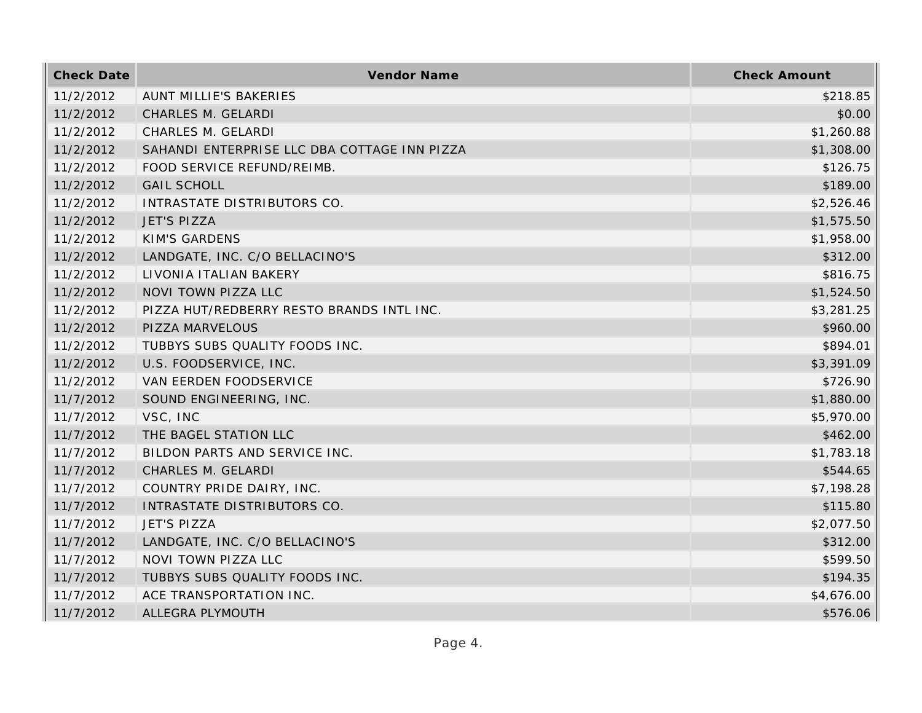| <b>Check Date</b> | Vendor Name                                  | <b>Check Amount</b> |
|-------------------|----------------------------------------------|---------------------|
| 11/2/2012         | <b>AUNT MILLIE'S BAKERIES</b>                | \$218.85            |
| 11/2/2012         | CHARLES M. GELARDI                           | \$0.00              |
| 11/2/2012         | CHARLES M. GELARDI                           | \$1,260.88          |
| 11/2/2012         | SAHANDI ENTERPRISE LLC DBA COTTAGE INN PIZZA | \$1,308.00          |
| 11/2/2012         | FOOD SERVICE REFUND/REIMB.                   | \$126.75            |
| 11/2/2012         | <b>GAIL SCHOLL</b>                           | \$189.00            |
| 11/2/2012         | INTRASTATE DISTRIBUTORS CO.                  | \$2,526.46          |
| 11/2/2012         | <b>JET'S PIZZA</b>                           | \$1,575.50          |
| 11/2/2012         | <b>KIM'S GARDENS</b>                         | \$1,958.00          |
| 11/2/2012         | LANDGATE, INC. C/O BELLACINO'S               | \$312.00            |
| 11/2/2012         | LIVONIA ITALIAN BAKERY                       | \$816.75            |
| 11/2/2012         | NOVI TOWN PIZZA LLC                          | \$1,524.50          |
| 11/2/2012         | PIZZA HUT/REDBERRY RESTO BRANDS INTL INC.    | \$3,281.25          |
| 11/2/2012         | PIZZA MARVELOUS                              | \$960.00            |
| 11/2/2012         | TUBBYS SUBS QUALITY FOODS INC.               | \$894.01            |
| 11/2/2012         | U.S. FOODSERVICE, INC.                       | \$3,391.09          |
| 11/2/2012         | VAN EERDEN FOODSERVICE                       | \$726.90            |
| 11/7/2012         | SOUND ENGINEERING, INC.                      | \$1,880.00          |
| 11/7/2012         | VSC, INC                                     | \$5,970.00          |
| 11/7/2012         | THE BAGEL STATION LLC                        | \$462.00            |
| 11/7/2012         | BILDON PARTS AND SERVICE INC.                | \$1,783.18          |
| 11/7/2012         | CHARLES M. GELARDI                           | \$544.65            |
| 11/7/2012         | COUNTRY PRIDE DAIRY, INC.                    | \$7,198.28          |
| 11/7/2012         | INTRASTATE DISTRIBUTORS CO.                  | \$115.80            |
| 11/7/2012         | <b>JET'S PIZZA</b>                           | \$2,077.50          |
| 11/7/2012         | LANDGATE, INC. C/O BELLACINO'S               | \$312.00            |
| 11/7/2012         | NOVI TOWN PIZZA LLC                          | \$599.50            |
| 11/7/2012         | TUBBYS SUBS QUALITY FOODS INC.               | \$194.35            |
| 11/7/2012         | ACE TRANSPORTATION INC.                      | \$4,676.00          |
| 11/7/2012         | ALLEGRA PLYMOUTH                             | \$576.06            |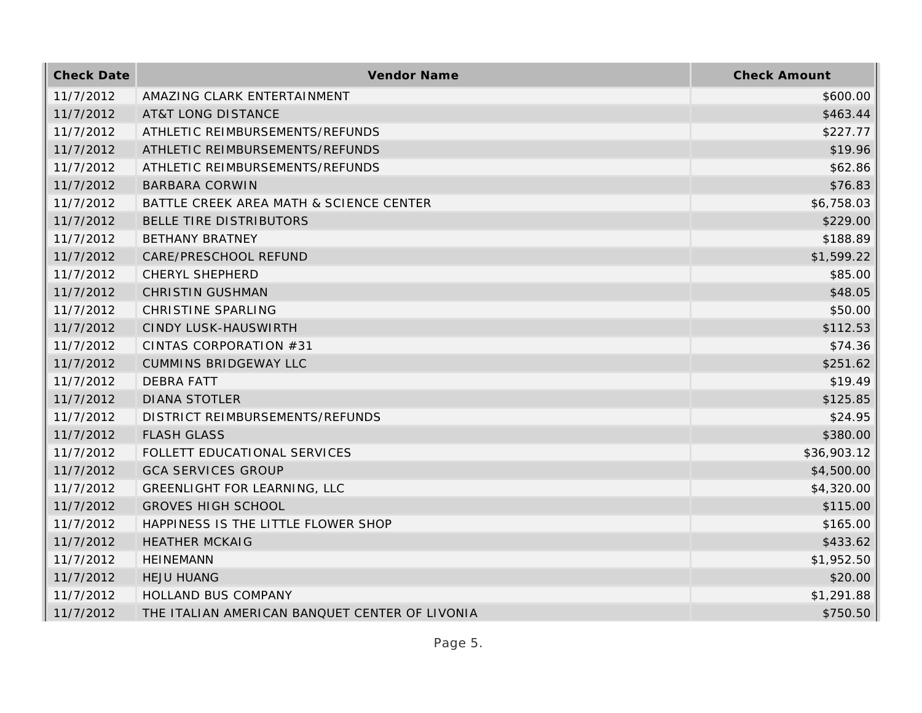| <b>Check Date</b> | Vendor Name                                    | <b>Check Amount</b> |
|-------------------|------------------------------------------------|---------------------|
| 11/7/2012         | AMAZING CLARK ENTERTAINMENT                    | \$600.00            |
| 11/7/2012         | <b>AT&amp;T LONG DISTANCE</b>                  | \$463.44            |
| 11/7/2012         | ATHLETIC REIMBURSEMENTS/REFUNDS                | \$227.77            |
| 11/7/2012         | ATHLETIC REIMBURSEMENTS/REFUNDS                | \$19.96             |
| 11/7/2012         | ATHLETIC REIMBURSEMENTS/REFUNDS                | \$62.86             |
| 11/7/2012         | <b>BARBARA CORWIN</b>                          | \$76.83             |
| 11/7/2012         | BATTLE CREEK AREA MATH & SCIENCE CENTER        | \$6,758.03          |
| 11/7/2012         | BELLE TIRE DISTRIBUTORS                        | \$229.00            |
| 11/7/2012         | <b>BETHANY BRATNEY</b>                         | \$188.89            |
| 11/7/2012         | CARE/PRESCHOOL REFUND                          | \$1,599.22          |
| 11/7/2012         | <b>CHERYL SHEPHERD</b>                         | \$85.00             |
| 11/7/2012         | <b>CHRISTIN GUSHMAN</b>                        | \$48.05             |
| 11/7/2012         | CHRISTINE SPARLING                             | \$50.00             |
| 11/7/2012         | CINDY LUSK-HAUSWIRTH                           | \$112.53            |
| 11/7/2012         | CINTAS CORPORATION #31                         | \$74.36             |
| 11/7/2012         | <b>CUMMINS BRIDGEWAY LLC</b>                   | \$251.62            |
| 11/7/2012         | <b>DEBRA FATT</b>                              | \$19.49             |
| 11/7/2012         | <b>DIANA STOTLER</b>                           | \$125.85            |
| 11/7/2012         | DISTRICT REIMBURSEMENTS/REFUNDS                | \$24.95             |
| 11/7/2012         | <b>FLASH GLASS</b>                             | \$380.00            |
| 11/7/2012         | FOLLETT EDUCATIONAL SERVICES                   | \$36,903.12         |
| 11/7/2012         | <b>GCA SERVICES GROUP</b>                      | \$4,500.00          |
| 11/7/2012         | <b>GREENLIGHT FOR LEARNING, LLC</b>            | \$4,320.00          |
| 11/7/2012         | <b>GROVES HIGH SCHOOL</b>                      | \$115.00            |
| 11/7/2012         | HAPPINESS IS THE LITTLE FLOWER SHOP            | \$165.00            |
| 11/7/2012         | <b>HEATHER MCKAIG</b>                          | \$433.62            |
| 11/7/2012         | <b>HEINEMANN</b>                               | \$1,952.50          |
| 11/7/2012         | <b>HEJU HUANG</b>                              | \$20.00             |
| 11/7/2012         | HOLLAND BUS COMPANY                            | \$1,291.88          |
| 11/7/2012         | THE ITALIAN AMERICAN BANQUET CENTER OF LIVONIA | \$750.50            |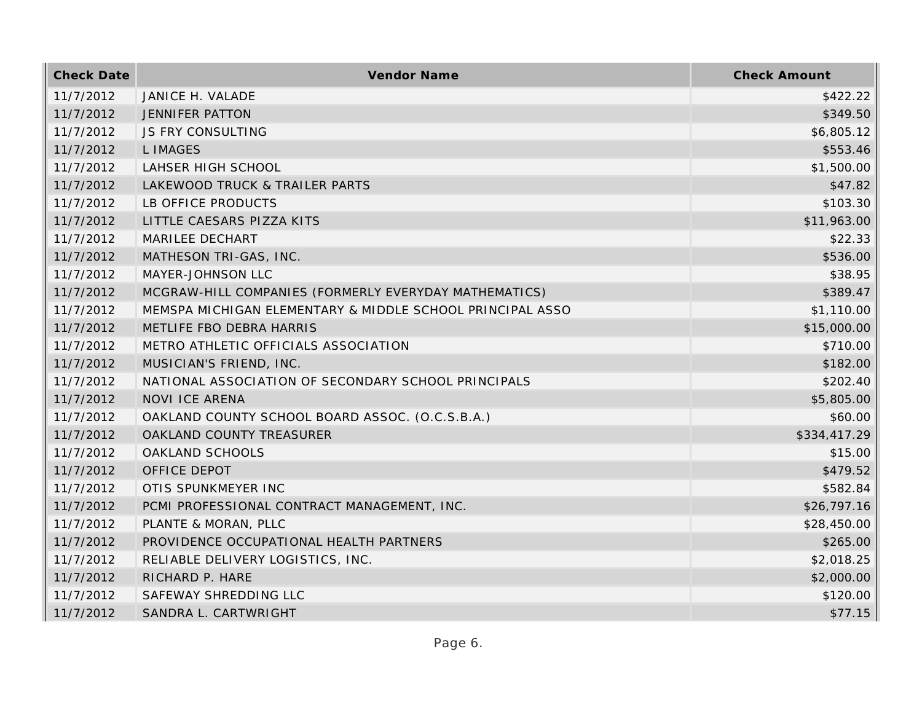| <b>Check Date</b> | Vendor Name                                               | <b>Check Amount</b> |
|-------------------|-----------------------------------------------------------|---------------------|
| 11/7/2012         | JANICE H. VALADE                                          | \$422.22            |
| 11/7/2012         | <b>JENNIFER PATTON</b>                                    | \$349.50            |
| 11/7/2012         | <b>JS FRY CONSULTING</b>                                  | \$6,805.12          |
| 11/7/2012         | <b>LIMAGES</b>                                            | \$553.46            |
| 11/7/2012         | <b>LAHSER HIGH SCHOOL</b>                                 | \$1,500.00          |
| 11/7/2012         | LAKEWOOD TRUCK & TRAILER PARTS                            | \$47.82             |
| 11/7/2012         | LB OFFICE PRODUCTS                                        | \$103.30            |
| 11/7/2012         | LITTLE CAESARS PIZZA KITS                                 | \$11,963.00         |
| 11/7/2012         | MARILEE DECHART                                           | \$22.33             |
| 11/7/2012         | MATHESON TRI-GAS, INC.                                    | \$536.00            |
| 11/7/2012         | MAYER-JOHNSON LLC                                         | \$38.95             |
| 11/7/2012         | MCGRAW-HILL COMPANIES (FORMERLY EVERYDAY MATHEMATICS)     | \$389.47            |
| 11/7/2012         | MEMSPA MICHIGAN ELEMENTARY & MIDDLE SCHOOL PRINCIPAL ASSO | \$1,110.00          |
| 11/7/2012         | METLIFE FBO DEBRA HARRIS                                  | \$15,000.00         |
| 11/7/2012         | METRO ATHLETIC OFFICIALS ASSOCIATION                      | \$710.00            |
| 11/7/2012         | MUSICIAN'S FRIEND, INC.                                   | \$182.00            |
| 11/7/2012         | NATIONAL ASSOCIATION OF SECONDARY SCHOOL PRINCIPALS       | \$202.40            |
| 11/7/2012         | <b>NOVI ICE ARENA</b>                                     | \$5,805.00          |
| 11/7/2012         | OAKLAND COUNTY SCHOOL BOARD ASSOC. (O.C.S.B.A.)           | \$60.00             |
| 11/7/2012         | OAKLAND COUNTY TREASURER                                  | \$334,417.29        |
| 11/7/2012         | OAKLAND SCHOOLS                                           | \$15.00             |
| 11/7/2012         | OFFICE DEPOT                                              | \$479.52            |
| 11/7/2012         | OTIS SPUNKMEYER INC                                       | \$582.84            |
| 11/7/2012         | PCMI PROFESSIONAL CONTRACT MANAGEMENT, INC.               | \$26,797.16         |
| 11/7/2012         | PLANTE & MORAN, PLLC                                      | \$28,450.00         |
| 11/7/2012         | PROVIDENCE OCCUPATIONAL HEALTH PARTNERS                   | \$265.00            |
| 11/7/2012         | RELIABLE DELIVERY LOGISTICS, INC.                         | \$2,018.25          |
| 11/7/2012         | RICHARD P. HARE                                           | \$2,000.00          |
| 11/7/2012         | SAFEWAY SHREDDING LLC                                     | \$120.00            |
| 11/7/2012         | SANDRA L. CARTWRIGHT                                      | \$77.15             |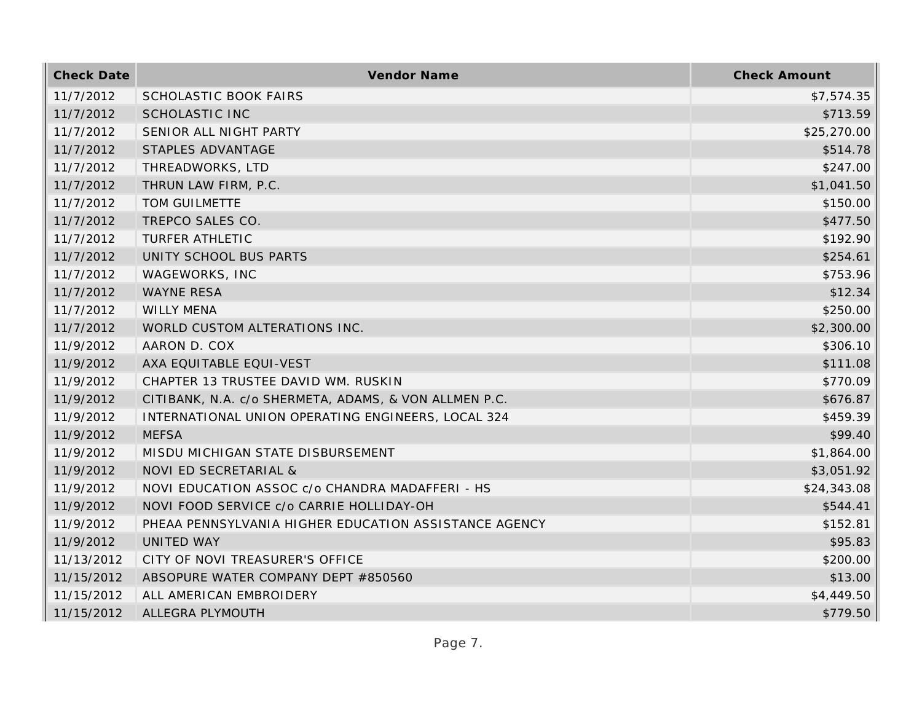| <b>Check Date</b> | Vendor Name                                           | <b>Check Amount</b> |
|-------------------|-------------------------------------------------------|---------------------|
| 11/7/2012         | SCHOLASTIC BOOK FAIRS                                 | \$7,574.35          |
| 11/7/2012         | <b>SCHOLASTIC INC</b>                                 | \$713.59            |
| 11/7/2012         | SENIOR ALL NIGHT PARTY                                | \$25,270.00         |
| 11/7/2012         | STAPLES ADVANTAGE                                     | \$514.78            |
| 11/7/2012         | THREADWORKS, LTD                                      | \$247.00            |
| 11/7/2012         | THRUN LAW FIRM, P.C.                                  | \$1,041.50          |
| 11/7/2012         | TOM GUILMETTE                                         | \$150.00            |
| 11/7/2012         | TREPCO SALES CO.                                      | \$477.50            |
| 11/7/2012         | <b>TURFER ATHLETIC</b>                                | \$192.90            |
| 11/7/2012         | UNITY SCHOOL BUS PARTS                                | \$254.61            |
| 11/7/2012         | WAGEWORKS, INC                                        | \$753.96            |
| 11/7/2012         | <b>WAYNE RESA</b>                                     | \$12.34             |
| 11/7/2012         | <b>WILLY MENA</b>                                     | \$250.00            |
| 11/7/2012         | WORLD CUSTOM ALTERATIONS INC.                         | \$2,300.00          |
| 11/9/2012         | AARON D. COX                                          | \$306.10            |
| 11/9/2012         | AXA EQUITABLE EQUI-VEST                               | \$111.08            |
| 11/9/2012         | CHAPTER 13 TRUSTEE DAVID WM. RUSKIN                   | \$770.09            |
| 11/9/2012         | CITIBANK, N.A. c/o SHERMETA, ADAMS, & VON ALLMEN P.C. | \$676.87            |
| 11/9/2012         | INTERNATIONAL UNION OPERATING ENGINEERS, LOCAL 324    | \$459.39            |
| 11/9/2012         | <b>MEFSA</b>                                          | \$99.40             |
| 11/9/2012         | MISDU MICHIGAN STATE DISBURSEMENT                     | \$1,864.00          |
| 11/9/2012         | NOVI ED SECRETARIAL &                                 | \$3,051.92          |
| 11/9/2012         | NOVI EDUCATION ASSOC c/o CHANDRA MADAFFERI - HS       | \$24,343.08         |
| 11/9/2012         | NOVI FOOD SERVICE c/o CARRIE HOLLIDAY-OH              | \$544.41            |
| 11/9/2012         | PHEAA PENNSYLVANIA HIGHER EDUCATION ASSISTANCE AGENCY | \$152.81            |
| 11/9/2012         | <b>UNITED WAY</b>                                     | \$95.83             |
| 11/13/2012        | CITY OF NOVI TREASURER'S OFFICE                       | \$200.00            |
| 11/15/2012        | ABSOPURE WATER COMPANY DEPT #850560                   | \$13.00             |
| 11/15/2012        | ALL AMERICAN EMBROIDERY                               | \$4,449.50          |
| 11/15/2012        | ALLEGRA PLYMOUTH                                      | \$779.50            |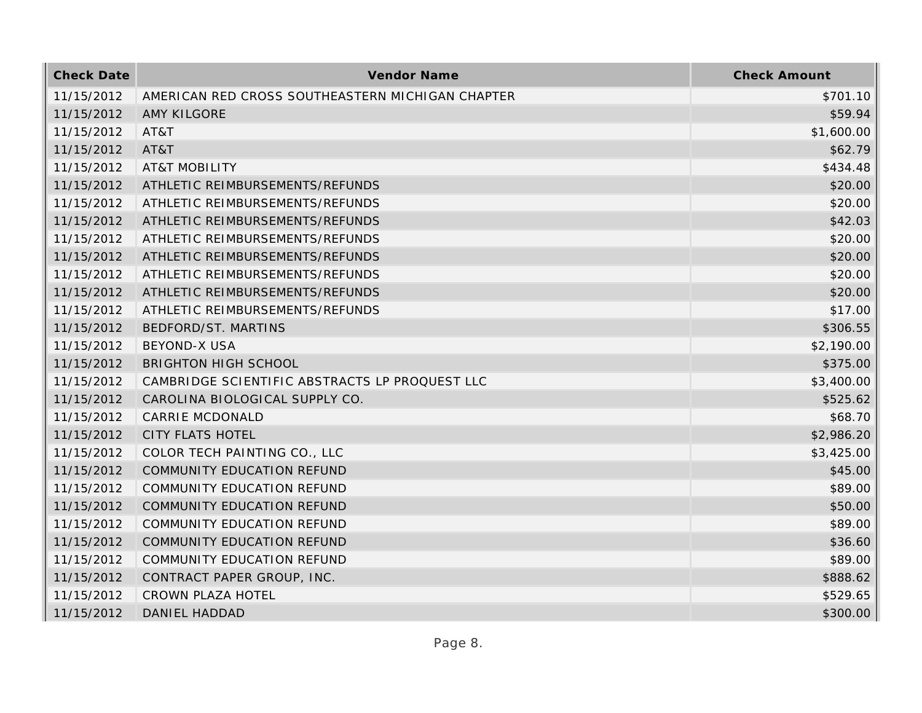| <b>Check Date</b> | <b>Vendor Name</b>                               | <b>Check Amount</b> |
|-------------------|--------------------------------------------------|---------------------|
| 11/15/2012        | AMERICAN RED CROSS SOUTHEASTERN MICHIGAN CHAPTER | \$701.10            |
| 11/15/2012        | <b>AMY KILGORE</b>                               | \$59.94             |
| 11/15/2012        | AT&T                                             | \$1,600.00          |
| 11/15/2012        | AT&T                                             | \$62.79             |
| 11/15/2012        | <b>AT&amp;T MOBILITY</b>                         | \$434.48            |
| 11/15/2012        | ATHLETIC REIMBURSEMENTS/REFUNDS                  | \$20.00             |
| 11/15/2012        | ATHLETIC REIMBURSEMENTS/REFUNDS                  | \$20.00             |
| 11/15/2012        | ATHLETIC REIMBURSEMENTS/REFUNDS                  | \$42.03             |
| 11/15/2012        | ATHLETIC REIMBURSEMENTS/REFUNDS                  | \$20.00             |
| 11/15/2012        | ATHLETIC REIMBURSEMENTS/REFUNDS                  | \$20.00             |
| 11/15/2012        | ATHLETIC REIMBURSEMENTS/REFUNDS                  | \$20.00             |
| 11/15/2012        | ATHLETIC REIMBURSEMENTS/REFUNDS                  | \$20.00             |
| 11/15/2012        | ATHLETIC REIMBURSEMENTS/REFUNDS                  | \$17.00             |
| 11/15/2012        | BEDFORD/ST. MARTINS                              | \$306.55            |
| 11/15/2012        | <b>BEYOND-X USA</b>                              | \$2,190.00          |
| 11/15/2012        | <b>BRIGHTON HIGH SCHOOL</b>                      | \$375.00            |
| 11/15/2012        | CAMBRIDGE SCIENTIFIC ABSTRACTS LP PROQUEST LLC   | \$3,400.00          |
| 11/15/2012        | CAROLINA BIOLOGICAL SUPPLY CO.                   | \$525.62            |
| 11/15/2012        | <b>CARRIE MCDONALD</b>                           | \$68.70             |
| 11/15/2012        | <b>CITY FLATS HOTEL</b>                          | \$2,986.20          |
| 11/15/2012        | COLOR TECH PAINTING CO., LLC                     | \$3,425.00          |
| 11/15/2012        | COMMUNITY EDUCATION REFUND                       | \$45.00             |
| 11/15/2012        | COMMUNITY EDUCATION REFUND                       | \$89.00             |
| 11/15/2012        | <b>COMMUNITY EDUCATION REFUND</b>                | \$50.00             |
| 11/15/2012        | <b>COMMUNITY EDUCATION REFUND</b>                | \$89.00             |
| 11/15/2012        | <b>COMMUNITY EDUCATION REFUND</b>                | \$36.60             |
| 11/15/2012        | COMMUNITY EDUCATION REFUND                       | \$89.00             |
| 11/15/2012        | CONTRACT PAPER GROUP, INC.                       | \$888.62            |
| 11/15/2012        | CROWN PLAZA HOTEL                                | \$529.65            |
| 11/15/2012        | DANIEL HADDAD                                    | \$300.00            |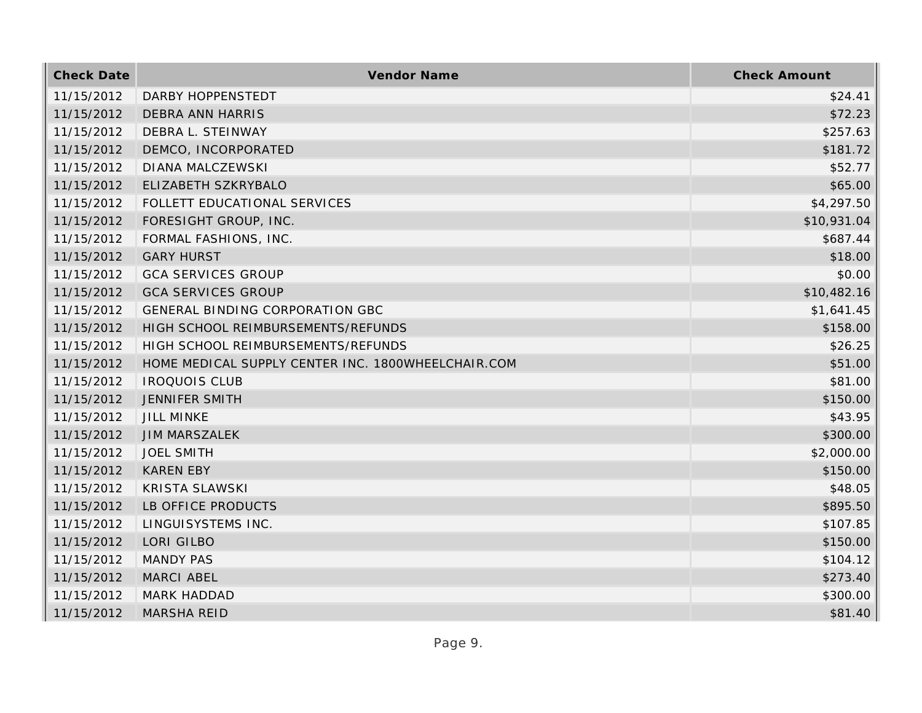| <b>Check Date</b> | Vendor Name                                        | <b>Check Amount</b> |
|-------------------|----------------------------------------------------|---------------------|
| 11/15/2012        | DARBY HOPPENSTEDT                                  | \$24.41             |
| 11/15/2012        | <b>DEBRA ANN HARRIS</b>                            | \$72.23             |
| 11/15/2012        | DEBRA L. STEINWAY                                  | \$257.63            |
| 11/15/2012        | DEMCO, INCORPORATED                                | \$181.72            |
| 11/15/2012        | <b>DIANA MALCZEWSKI</b>                            | \$52.77             |
| 11/15/2012        | ELIZABETH SZKRYBALO                                | \$65.00             |
| 11/15/2012        | FOLLETT EDUCATIONAL SERVICES                       | \$4,297.50          |
| 11/15/2012        | FORESIGHT GROUP, INC.                              | \$10,931.04         |
| 11/15/2012        | FORMAL FASHIONS, INC.                              | \$687.44            |
| 11/15/2012        | <b>GARY HURST</b>                                  | \$18.00             |
| 11/15/2012        | <b>GCA SERVICES GROUP</b>                          | \$0.00              |
| 11/15/2012        | <b>GCA SERVICES GROUP</b>                          | \$10,482.16         |
| 11/15/2012        | GENERAL BINDING CORPORATION GBC                    | \$1,641.45          |
| 11/15/2012        | HIGH SCHOOL REIMBURSEMENTS/REFUNDS                 | \$158.00            |
| 11/15/2012        | HIGH SCHOOL REIMBURSEMENTS/REFUNDS                 | \$26.25             |
| 11/15/2012        | HOME MEDICAL SUPPLY CENTER INC. 1800WHEELCHAIR.COM | \$51.00             |
| 11/15/2012        | <b>IROQUOIS CLUB</b>                               | \$81.00             |
| 11/15/2012        | <b>JENNIFER SMITH</b>                              | \$150.00            |
| 11/15/2012        | <b>JILL MINKE</b>                                  | \$43.95             |
| 11/15/2012        | <b>JIM MARSZALEK</b>                               | \$300.00            |
| 11/15/2012        | <b>JOEL SMITH</b>                                  | \$2,000.00          |
| 11/15/2012        | <b>KAREN EBY</b>                                   | \$150.00            |
| 11/15/2012        | <b>KRISTA SLAWSKI</b>                              | \$48.05             |
| 11/15/2012        | LB OFFICE PRODUCTS                                 | \$895.50            |
| 11/15/2012        | LINGUISYSTEMS INC.                                 | \$107.85            |
| 11/15/2012        | LORI GILBO                                         | \$150.00            |
| 11/15/2012        | <b>MANDY PAS</b>                                   | \$104.12            |
| 11/15/2012        | <b>MARCI ABEL</b>                                  | \$273.40            |
| 11/15/2012        | MARK HADDAD                                        | \$300.00            |
| 11/15/2012        | <b>MARSHA REID</b>                                 | \$81.40             |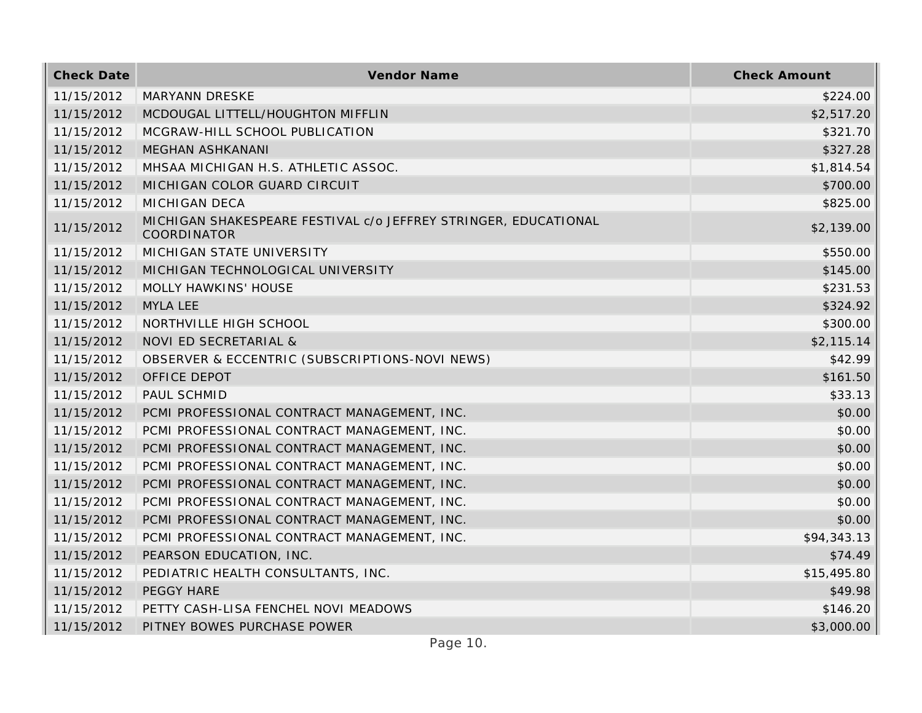| <b>Check Date</b> | Vendor Name                                                                    | <b>Check Amount</b> |
|-------------------|--------------------------------------------------------------------------------|---------------------|
| 11/15/2012        | <b>MARYANN DRESKE</b>                                                          | \$224.00            |
| 11/15/2012        | MCDOUGAL LITTELL/HOUGHTON MIFFLIN                                              | \$2,517.20          |
| 11/15/2012        | MCGRAW-HILL SCHOOL PUBLICATION                                                 | \$321.70            |
| 11/15/2012        | <b>MEGHAN ASHKANANI</b>                                                        | \$327.28            |
| 11/15/2012        | MHSAA MICHIGAN H.S. ATHLETIC ASSOC.                                            | \$1,814.54          |
| 11/15/2012        | MICHIGAN COLOR GUARD CIRCUIT                                                   | \$700.00            |
| 11/15/2012        | <b>MICHIGAN DECA</b>                                                           | \$825.00            |
| 11/15/2012        | MICHIGAN SHAKESPEARE FESTIVAL c/o JEFFREY STRINGER, EDUCATIONAL<br>COORDINATOR | \$2,139.00          |
| 11/15/2012        | MICHIGAN STATE UNIVERSITY                                                      | \$550.00            |
| 11/15/2012        | MICHIGAN TECHNOLOGICAL UNIVERSITY                                              | \$145.00            |
| 11/15/2012        | MOLLY HAWKINS' HOUSE                                                           | \$231.53            |
| 11/15/2012        | <b>MYLA LEE</b>                                                                | \$324.92            |
| 11/15/2012        | NORTHVILLE HIGH SCHOOL                                                         | \$300.00            |
| 11/15/2012        | NOVI ED SECRETARIAL &                                                          | \$2,115.14          |
| 11/15/2012        | OBSERVER & ECCENTRIC (SUBSCRIPTIONS-NOVI NEWS)                                 | \$42.99             |
| 11/15/2012        | OFFICE DEPOT                                                                   | \$161.50            |
| 11/15/2012        | PAUL SCHMID                                                                    | \$33.13             |
| 11/15/2012        | PCMI PROFESSIONAL CONTRACT MANAGEMENT, INC.                                    | \$0.00              |
| 11/15/2012        | PCMI PROFESSIONAL CONTRACT MANAGEMENT, INC.                                    | \$0.00              |
| 11/15/2012        | PCMI PROFESSIONAL CONTRACT MANAGEMENT, INC.                                    | \$0.00              |
| 11/15/2012        | PCMI PROFESSIONAL CONTRACT MANAGEMENT, INC.                                    | \$0.00              |
| 11/15/2012        | PCMI PROFESSIONAL CONTRACT MANAGEMENT, INC.                                    | \$0.00              |
| 11/15/2012        | PCMI PROFESSIONAL CONTRACT MANAGEMENT, INC.                                    | \$0.00              |
| 11/15/2012        | PCMI PROFESSIONAL CONTRACT MANAGEMENT, INC.                                    | \$0.00              |
| 11/15/2012        | PCMI PROFESSIONAL CONTRACT MANAGEMENT, INC.                                    | \$94,343.13         |
| 11/15/2012        | PEARSON EDUCATION, INC.                                                        | \$74.49             |
| 11/15/2012        | PEDIATRIC HEALTH CONSULTANTS, INC.                                             | \$15,495.80         |
| 11/15/2012        | PEGGY HARE                                                                     | \$49.98             |
| 11/15/2012        | PETTY CASH-LISA FENCHEL NOVI MEADOWS                                           | \$146.20            |
| 11/15/2012        | PITNEY BOWES PURCHASE POWER                                                    | \$3,000.00          |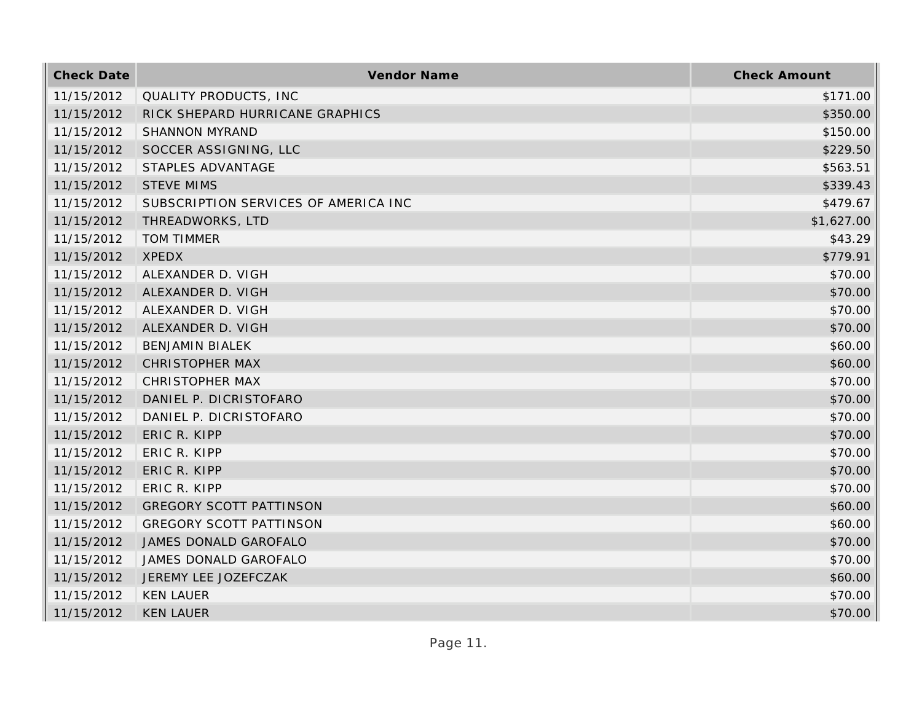| <b>Check Date</b> | Vendor Name                          | <b>Check Amount</b> |
|-------------------|--------------------------------------|---------------------|
| 11/15/2012        | QUALITY PRODUCTS, INC                | \$171.00            |
| 11/15/2012        | RICK SHEPARD HURRICANE GRAPHICS      | \$350.00            |
| 11/15/2012        | <b>SHANNON MYRAND</b>                | \$150.00            |
| 11/15/2012        | SOCCER ASSIGNING, LLC                | \$229.50            |
| 11/15/2012        | STAPLES ADVANTAGE                    | \$563.51            |
| 11/15/2012        | <b>STEVE MIMS</b>                    | \$339.43            |
| 11/15/2012        | SUBSCRIPTION SERVICES OF AMERICA INC | \$479.67            |
| 11/15/2012        | THREADWORKS, LTD                     | \$1,627.00          |
| 11/15/2012        | <b>TOM TIMMER</b>                    | \$43.29             |
| 11/15/2012        | <b>XPEDX</b>                         | \$779.91            |
| 11/15/2012        | ALEXANDER D. VIGH                    | \$70.00             |
| 11/15/2012        | ALEXANDER D. VIGH                    | \$70.00             |
| 11/15/2012        | ALEXANDER D. VIGH                    | \$70.00             |
| 11/15/2012        | ALEXANDER D. VIGH                    | \$70.00             |
| 11/15/2012        | <b>BENJAMIN BIALEK</b>               | \$60.00             |
| 11/15/2012        | <b>CHRISTOPHER MAX</b>               | \$60.00             |
| 11/15/2012        | <b>CHRISTOPHER MAX</b>               | \$70.00             |
| 11/15/2012        | DANIEL P. DICRISTOFARO               | \$70.00             |
| 11/15/2012        | DANIEL P. DICRISTOFARO               | \$70.00             |
| 11/15/2012        | ERIC R. KIPP                         | \$70.00             |
| 11/15/2012        | ERIC R. KIPP                         | \$70.00             |
| 11/15/2012        | ERIC R. KIPP                         | \$70.00             |
| 11/15/2012        | ERIC R. KIPP                         | \$70.00             |
| 11/15/2012        | <b>GREGORY SCOTT PATTINSON</b>       | \$60.00             |
| 11/15/2012        | <b>GREGORY SCOTT PATTINSON</b>       | \$60.00             |
| 11/15/2012        | JAMES DONALD GAROFALO                | \$70.00             |
| 11/15/2012        | JAMES DONALD GAROFALO                | \$70.00             |
| 11/15/2012        | JEREMY LEE JOZEFCZAK                 | \$60.00             |
| 11/15/2012        | <b>KEN LAUER</b>                     | \$70.00             |
| 11/15/2012        | <b>KEN LAUER</b>                     | \$70.00             |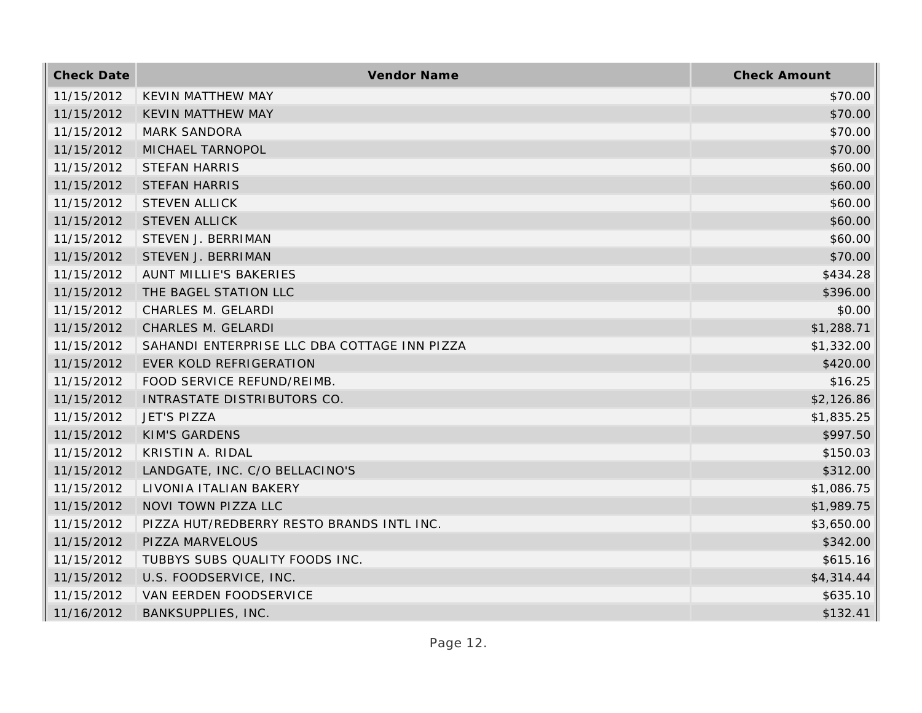| <b>Check Date</b> | Vendor Name                                  | <b>Check Amount</b> |
|-------------------|----------------------------------------------|---------------------|
| 11/15/2012        | <b>KEVIN MATTHEW MAY</b>                     | \$70.00             |
| 11/15/2012        | <b>KEVIN MATTHEW MAY</b>                     | \$70.00             |
| 11/15/2012        | <b>MARK SANDORA</b>                          | \$70.00             |
| 11/15/2012        | MICHAEL TARNOPOL                             | \$70.00             |
| 11/15/2012        | <b>STEFAN HARRIS</b>                         | \$60.00             |
| 11/15/2012        | <b>STEFAN HARRIS</b>                         | \$60.00             |
| 11/15/2012        | <b>STEVEN ALLICK</b>                         | \$60.00             |
| 11/15/2012        | <b>STEVEN ALLICK</b>                         | \$60.00             |
| 11/15/2012        | STEVEN J. BERRIMAN                           | \$60.00             |
| 11/15/2012        | STEVEN J. BERRIMAN                           | \$70.00             |
| 11/15/2012        | AUNT MILLIE'S BAKERIES                       | \$434.28            |
| 11/15/2012        | THE BAGEL STATION LLC                        | \$396.00            |
| 11/15/2012        | CHARLES M. GELARDI                           | \$0.00              |
| 11/15/2012        | CHARLES M. GELARDI                           | \$1,288.71          |
| 11/15/2012        | SAHANDI ENTERPRISE LLC DBA COTTAGE INN PIZZA | \$1,332.00          |
| 11/15/2012        | EVER KOLD REFRIGERATION                      | \$420.00            |
| 11/15/2012        | FOOD SERVICE REFUND/REIMB.                   | \$16.25             |
| 11/15/2012        | INTRASTATE DISTRIBUTORS CO.                  | \$2,126.86          |
| 11/15/2012        | <b>JET'S PIZZA</b>                           | \$1,835.25          |
| 11/15/2012        | <b>KIM'S GARDENS</b>                         | \$997.50            |
| 11/15/2012        | KRISTIN A. RIDAL                             | \$150.03            |
| 11/15/2012        | LANDGATE, INC. C/O BELLACINO'S               | \$312.00            |
| 11/15/2012        | LIVONIA ITALIAN BAKERY                       | \$1,086.75          |
| 11/15/2012        | NOVI TOWN PIZZA LLC                          | \$1,989.75          |
| 11/15/2012        | PIZZA HUT/REDBERRY RESTO BRANDS INTL INC.    | \$3,650.00          |
| 11/15/2012        | PIZZA MARVELOUS                              | \$342.00            |
| 11/15/2012        | TUBBYS SUBS QUALITY FOODS INC.               | \$615.16            |
| 11/15/2012        | U.S. FOODSERVICE, INC.                       | \$4,314.44          |
| 11/15/2012        | VAN EERDEN FOODSERVICE                       | \$635.10            |
| 11/16/2012        | <b>BANKSUPPLIES, INC.</b>                    | \$132.41            |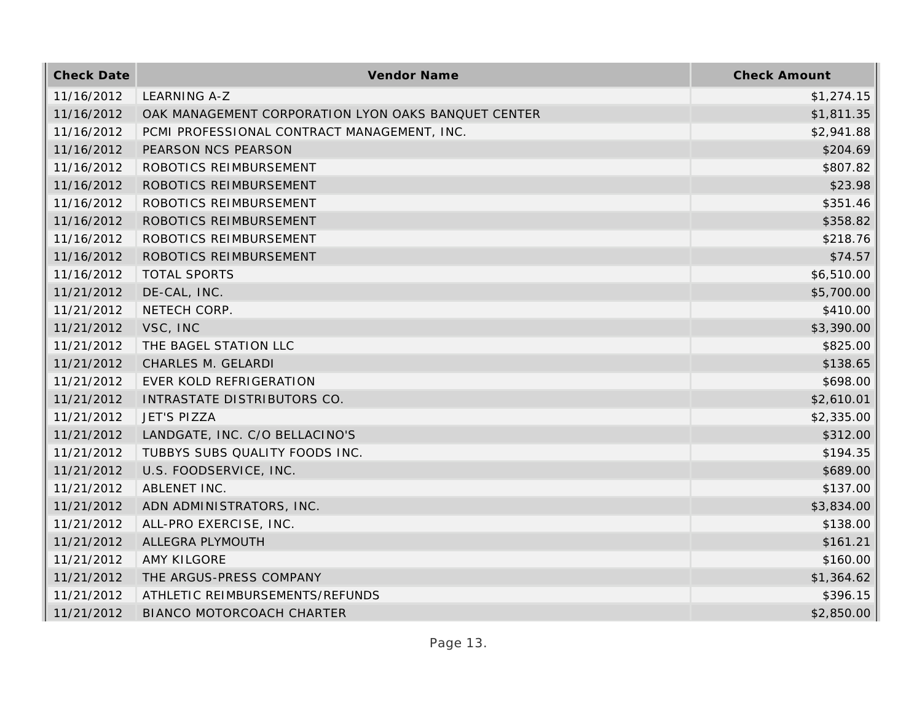| <b>Check Date</b> | Vendor Name                                         | <b>Check Amount</b> |
|-------------------|-----------------------------------------------------|---------------------|
| 11/16/2012        | LEARNING A-Z                                        | \$1,274.15          |
| 11/16/2012        | OAK MANAGEMENT CORPORATION LYON OAKS BANQUET CENTER | \$1,811.35          |
| 11/16/2012        | PCMI PROFESSIONAL CONTRACT MANAGEMENT, INC.         | \$2,941.88          |
| 11/16/2012        | PEARSON NCS PEARSON                                 | \$204.69            |
| 11/16/2012        | ROBOTICS REIMBURSEMENT                              | \$807.82            |
| 11/16/2012        | ROBOTICS REIMBURSEMENT                              | \$23.98             |
| 11/16/2012        | ROBOTICS REIMBURSEMENT                              | \$351.46            |
| 11/16/2012        | ROBOTICS REIMBURSEMENT                              | \$358.82            |
| 11/16/2012        | ROBOTICS REIMBURSEMENT                              | \$218.76            |
| 11/16/2012        | ROBOTICS REIMBURSEMENT                              | \$74.57             |
| 11/16/2012        | <b>TOTAL SPORTS</b>                                 | \$6,510.00          |
| 11/21/2012        | DE-CAL, INC.                                        | \$5,700.00          |
| 11/21/2012        | NETECH CORP.                                        | \$410.00            |
| 11/21/2012        | VSC, INC                                            | \$3,390.00          |
| 11/21/2012        | THE BAGEL STATION LLC                               | \$825.00            |
| 11/21/2012        | CHARLES M. GELARDI                                  | \$138.65            |
| 11/21/2012        | EVER KOLD REFRIGERATION                             | \$698.00            |
| 11/21/2012        | INTRASTATE DISTRIBUTORS CO.                         | \$2,610.01          |
| 11/21/2012        | <b>JET'S PIZZA</b>                                  | \$2,335.00          |
| 11/21/2012        | LANDGATE, INC. C/O BELLACINO'S                      | \$312.00            |
| 11/21/2012        | TUBBYS SUBS QUALITY FOODS INC.                      | \$194.35            |
| 11/21/2012        | U.S. FOODSERVICE, INC.                              | \$689.00            |
| 11/21/2012        | ABLENET INC.                                        | \$137.00            |
| 11/21/2012        | ADN ADMINISTRATORS, INC.                            | \$3,834.00          |
| 11/21/2012        | ALL-PRO EXERCISE, INC.                              | \$138.00            |
| 11/21/2012        | ALLEGRA PLYMOUTH                                    | \$161.21            |
| 11/21/2012        | AMY KILGORE                                         | \$160.00            |
| 11/21/2012        | THE ARGUS-PRESS COMPANY                             | \$1,364.62          |
| 11/21/2012        | ATHLETIC REIMBURSEMENTS/REFUNDS                     | \$396.15            |
| 11/21/2012        | <b>BIANCO MOTORCOACH CHARTER</b>                    | \$2,850.00          |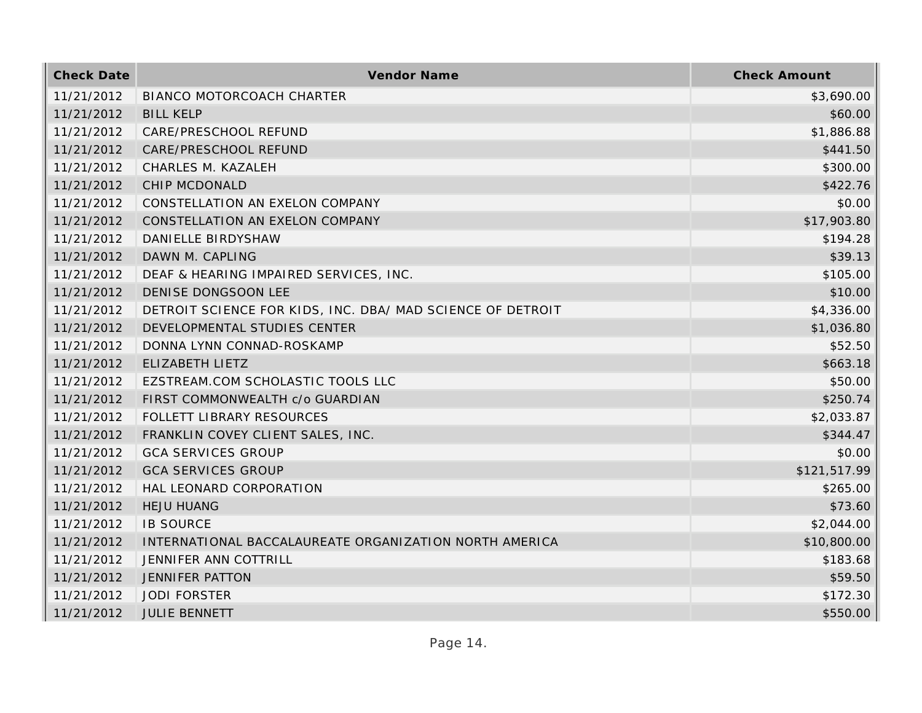| <b>Check Date</b> | Vendor Name                                                | <b>Check Amount</b> |
|-------------------|------------------------------------------------------------|---------------------|
| 11/21/2012        | BIANCO MOTORCOACH CHARTER                                  | \$3,690.00          |
| 11/21/2012        | <b>BILL KELP</b>                                           | \$60.00             |
| 11/21/2012        | CARE/PRESCHOOL REFUND                                      | \$1,886.88          |
| 11/21/2012        | CARE/PRESCHOOL REFUND                                      | \$441.50            |
| 11/21/2012        | CHARLES M. KAZALEH                                         | \$300.00            |
| 11/21/2012        | CHIP MCDONALD                                              | \$422.76            |
| 11/21/2012        | CONSTELLATION AN EXELON COMPANY                            | \$0.00              |
| 11/21/2012        | CONSTELLATION AN EXELON COMPANY                            | \$17,903.80         |
| 11/21/2012        | DANIELLE BIRDYSHAW                                         | \$194.28            |
| 11/21/2012        | DAWN M. CAPLING                                            | \$39.13             |
| 11/21/2012        | DEAF & HEARING IMPAIRED SERVICES, INC.                     | \$105.00            |
| 11/21/2012        | DENISE DONGSOON LEE                                        | \$10.00             |
| 11/21/2012        | DETROIT SCIENCE FOR KIDS, INC. DBA/ MAD SCIENCE OF DETROIT | \$4,336.00          |
| 11/21/2012        | DEVELOPMENTAL STUDIES CENTER                               | \$1,036.80          |
| 11/21/2012        | DONNA LYNN CONNAD-ROSKAMP                                  | \$52.50             |
| 11/21/2012        | ELIZABETH LIETZ                                            | \$663.18            |
| 11/21/2012        | EZSTREAM.COM SCHOLASTIC TOOLS LLC                          | \$50.00             |
| 11/21/2012        | FIRST COMMONWEALTH c/o GUARDIAN                            | \$250.74            |
| 11/21/2012        | FOLLETT LIBRARY RESOURCES                                  | \$2,033.87          |
| 11/21/2012        | FRANKLIN COVEY CLIENT SALES, INC.                          | \$344.47            |
| 11/21/2012        | <b>GCA SERVICES GROUP</b>                                  | \$0.00              |
| 11/21/2012        | <b>GCA SERVICES GROUP</b>                                  | \$121,517.99        |
| 11/21/2012        | HAL LEONARD CORPORATION                                    | \$265.00            |
| 11/21/2012        | <b>HEJU HUANG</b>                                          | \$73.60             |
| 11/21/2012        | <b>IB SOURCE</b>                                           | \$2,044.00          |
| 11/21/2012        | INTERNATIONAL BACCALAUREATE ORGANIZATION NORTH AMERICA     | \$10,800.00         |
| 11/21/2012        | JENNIFER ANN COTTRILL                                      | \$183.68            |
| 11/21/2012        | <b>JENNIFER PATTON</b>                                     | \$59.50             |
| 11/21/2012        | <b>JODI FORSTER</b>                                        | \$172.30            |
| 11/21/2012        | <b>JULIE BENNETT</b>                                       | \$550.00            |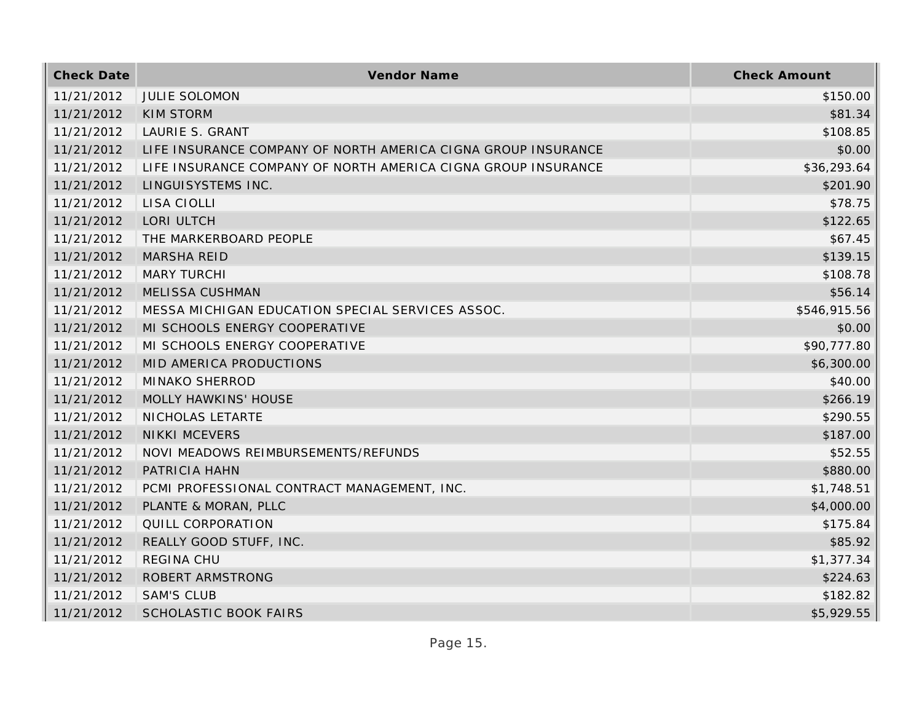| <b>Check Date</b> | Vendor Name                                                   | <b>Check Amount</b> |
|-------------------|---------------------------------------------------------------|---------------------|
| 11/21/2012        | <b>JULIE SOLOMON</b>                                          | \$150.00            |
| 11/21/2012        | <b>KIM STORM</b>                                              | \$81.34             |
| 11/21/2012        | LAURIE S. GRANT                                               | \$108.85            |
| 11/21/2012        | LIFE INSURANCE COMPANY OF NORTH AMERICA CIGNA GROUP INSURANCE | \$0.00              |
| 11/21/2012        | LIFE INSURANCE COMPANY OF NORTH AMERICA CIGNA GROUP INSURANCE | \$36,293.64         |
| 11/21/2012        | LINGUISYSTEMS INC.                                            | \$201.90            |
| 11/21/2012        | LISA CIOLLI                                                   | \$78.75             |
| 11/21/2012        | LORI ULTCH                                                    | \$122.65            |
| 11/21/2012        | THE MARKERBOARD PEOPLE                                        | \$67.45             |
| 11/21/2012        | <b>MARSHA REID</b>                                            | \$139.15            |
| 11/21/2012        | <b>MARY TURCHI</b>                                            | \$108.78            |
| 11/21/2012        | <b>MELISSA CUSHMAN</b>                                        | \$56.14             |
| 11/21/2012        | MESSA MICHIGAN EDUCATION SPECIAL SERVICES ASSOC.              | \$546,915.56        |
| 11/21/2012        | MI SCHOOLS ENERGY COOPERATIVE                                 | \$0.00              |
| 11/21/2012        | MI SCHOOLS ENERGY COOPERATIVE                                 | \$90,777.80         |
| 11/21/2012        | MID AMERICA PRODUCTIONS                                       | \$6,300.00          |
| 11/21/2012        | <b>MINAKO SHERROD</b>                                         | \$40.00             |
| 11/21/2012        | MOLLY HAWKINS' HOUSE                                          | \$266.19            |
| 11/21/2012        | NICHOLAS LETARTE                                              | \$290.55            |
| 11/21/2012        | <b>NIKKI MCEVERS</b>                                          | \$187.00            |
| 11/21/2012        | NOVI MEADOWS REIMBURSEMENTS/REFUNDS                           | \$52.55             |
| 11/21/2012        | PATRICIA HAHN                                                 | \$880.00            |
| 11/21/2012        | PCMI PROFESSIONAL CONTRACT MANAGEMENT, INC.                   | \$1,748.51          |
| 11/21/2012        | PLANTE & MORAN, PLLC                                          | \$4,000.00          |
| 11/21/2012        | QUILL CORPORATION                                             | \$175.84            |
| 11/21/2012        | REALLY GOOD STUFF, INC.                                       | \$85.92             |
| 11/21/2012        | <b>REGINA CHU</b>                                             | \$1,377.34          |
| 11/21/2012        | ROBERT ARMSTRONG                                              | \$224.63            |
| 11/21/2012        | <b>SAM'S CLUB</b>                                             | \$182.82            |
| 11/21/2012        | <b>SCHOLASTIC BOOK FAIRS</b>                                  | \$5,929.55          |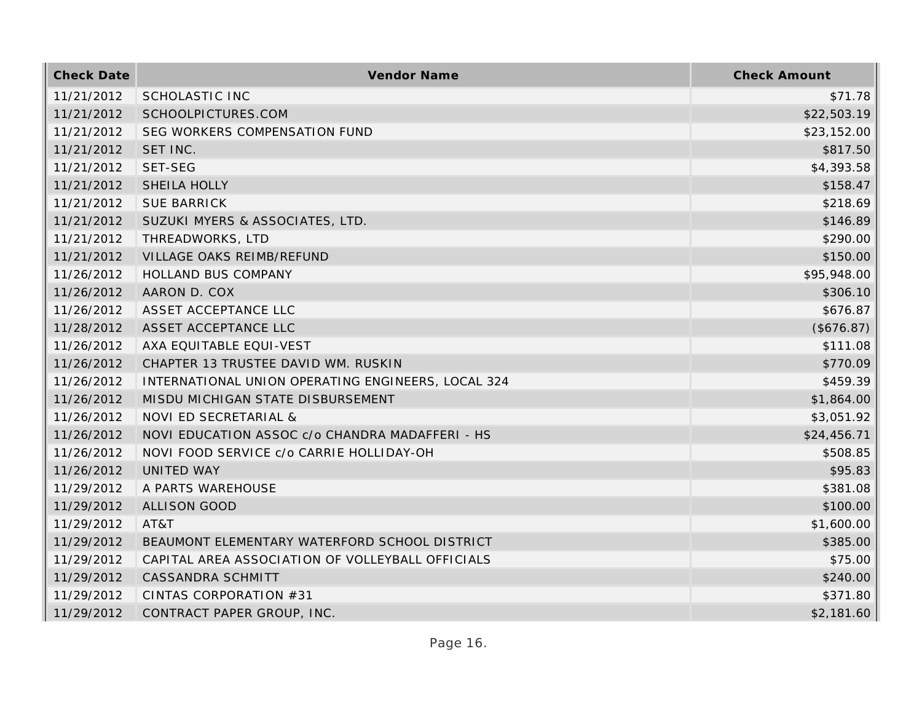| <b>Check Date</b> | Vendor Name                                        | <b>Check Amount</b> |
|-------------------|----------------------------------------------------|---------------------|
| 11/21/2012        | SCHOLASTIC INC                                     | \$71.78             |
| 11/21/2012        | SCHOOLPICTURES.COM                                 | \$22,503.19         |
| 11/21/2012        | SEG WORKERS COMPENSATION FUND                      | \$23,152.00         |
| 11/21/2012        | SET INC.                                           | \$817.50            |
| 11/21/2012        | SET-SEG                                            | \$4,393.58          |
| 11/21/2012        | SHEILA HOLLY                                       | \$158.47            |
| 11/21/2012        | <b>SUE BARRICK</b>                                 | \$218.69            |
| 11/21/2012        | SUZUKI MYERS & ASSOCIATES, LTD.                    | \$146.89            |
| 11/21/2012        | THREADWORKS, LTD                                   | \$290.00            |
| 11/21/2012        | VILLAGE OAKS REIMB/REFUND                          | \$150.00            |
| 11/26/2012        | HOLLAND BUS COMPANY                                | \$95,948.00         |
| 11/26/2012        | AARON D. COX                                       | \$306.10            |
| 11/26/2012        | ASSET ACCEPTANCE LLC                               | \$676.87            |
| 11/28/2012        | ASSET ACCEPTANCE LLC                               | (\$676.87)          |
| 11/26/2012        | AXA EQUITABLE EQUI-VEST                            | \$111.08            |
| 11/26/2012        | CHAPTER 13 TRUSTEE DAVID WM. RUSKIN                | \$770.09            |
| 11/26/2012        | INTERNATIONAL UNION OPERATING ENGINEERS, LOCAL 324 | \$459.39            |
| 11/26/2012        | MISDU MICHIGAN STATE DISBURSEMENT                  | \$1,864.00          |
| 11/26/2012        | NOVI ED SECRETARIAL &                              | \$3,051.92          |
| 11/26/2012        | NOVI EDUCATION ASSOC c/o CHANDRA MADAFFERI - HS    | \$24,456.71         |
| 11/26/2012        | NOVI FOOD SERVICE c/o CARRIE HOLLIDAY-OH           | \$508.85            |
| 11/26/2012        | <b>UNITED WAY</b>                                  | \$95.83             |
| 11/29/2012        | A PARTS WAREHOUSE                                  | \$381.08            |
| 11/29/2012        | <b>ALLISON GOOD</b>                                | \$100.00            |
| 11/29/2012        | AT&T                                               | \$1,600.00          |
| 11/29/2012        | BEAUMONT ELEMENTARY WATERFORD SCHOOL DISTRICT      | \$385.00            |
| 11/29/2012        | CAPITAL AREA ASSOCIATION OF VOLLEYBALL OFFICIALS   | \$75.00             |
| 11/29/2012        | CASSANDRA SCHMITT                                  | \$240.00            |
| 11/29/2012        | CINTAS CORPORATION #31                             | \$371.80            |
| 11/29/2012        | CONTRACT PAPER GROUP, INC.                         | \$2,181.60          |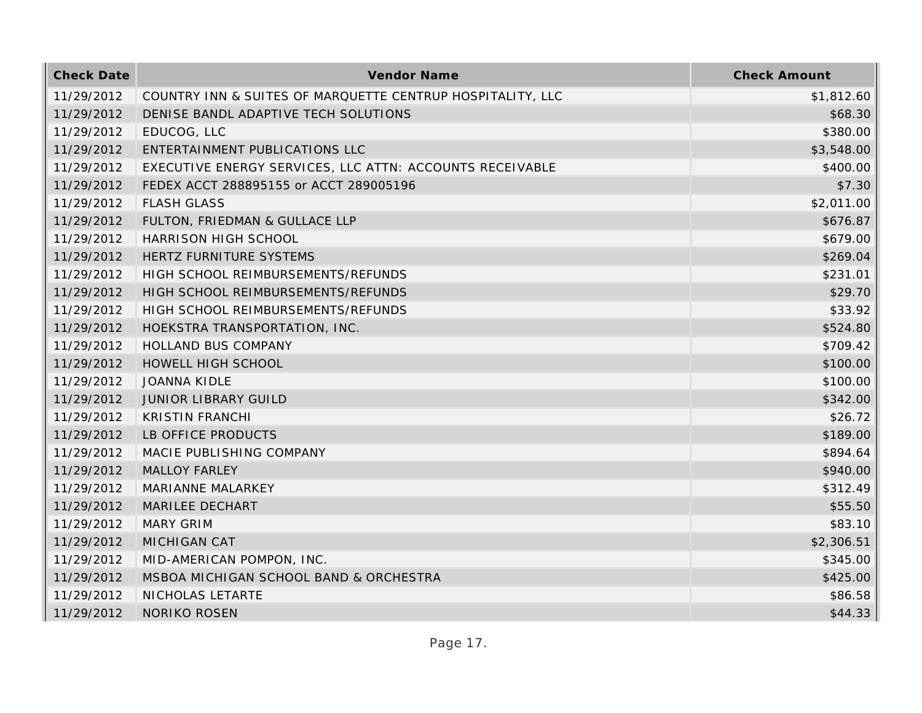| <b>Check Date</b> | Vendor Name                                                | <b>Check Amount</b> |
|-------------------|------------------------------------------------------------|---------------------|
| 11/29/2012        | COUNTRY INN & SUITES OF MARQUETTE CENTRUP HOSPITALITY, LLC | \$1,812.60          |
| 11/29/2012        | DENISE BANDL ADAPTIVE TECH SOLUTIONS                       | \$68.30             |
| 11/29/2012        | EDUCOG, LLC                                                | \$380.00            |
| 11/29/2012        | ENTERTAINMENT PUBLICATIONS LLC                             | \$3,548.00          |
| 11/29/2012        | EXECUTIVE ENERGY SERVICES, LLC ATTN: ACCOUNTS RECEIVABLE   | \$400.00            |
| 11/29/2012        | FEDEX ACCT 288895155 or ACCT 289005196                     | \$7.30              |
| 11/29/2012        | <b>FLASH GLASS</b>                                         | \$2,011.00          |
| 11/29/2012        | FULTON, FRIEDMAN & GULLACE LLP                             | \$676.87            |
| 11/29/2012        | HARRISON HIGH SCHOOL                                       | \$679.00            |
| 11/29/2012        | HERTZ FURNITURE SYSTEMS                                    | \$269.04            |
| 11/29/2012        | HIGH SCHOOL REIMBURSEMENTS/REFUNDS                         | \$231.01            |
| 11/29/2012        | HIGH SCHOOL REIMBURSEMENTS/REFUNDS                         | \$29.70             |
| 11/29/2012        | HIGH SCHOOL REIMBURSEMENTS/REFUNDS                         | \$33.92             |
| 11/29/2012        | HOEKSTRA TRANSPORTATION, INC.                              | \$524.80            |
| 11/29/2012        | <b>HOLLAND BUS COMPANY</b>                                 | \$709.42            |
| 11/29/2012        | HOWELL HIGH SCHOOL                                         | \$100.00            |
| 11/29/2012        | <b>JOANNA KIDLE</b>                                        | \$100.00            |
| 11/29/2012        | <b>JUNIOR LIBRARY GUILD</b>                                | \$342.00            |
| 11/29/2012        | <b>KRISTIN FRANCHI</b>                                     | \$26.72             |
| 11/29/2012        | LB OFFICE PRODUCTS                                         | \$189.00            |
| 11/29/2012        | MACIE PUBLISHING COMPANY                                   | \$894.64            |
| 11/29/2012        | <b>MALLOY FARLEY</b>                                       | \$940.00            |
| 11/29/2012        | MARIANNE MALARKEY                                          | \$312.49            |
| 11/29/2012        | MARILEE DECHART                                            | \$55.50             |
| 11/29/2012        | <b>MARY GRIM</b>                                           | \$83.10             |
| 11/29/2012        | MICHIGAN CAT                                               | \$2,306.51          |
| 11/29/2012        | MID-AMERICAN POMPON, INC.                                  | \$345.00            |
| 11/29/2012        | MSBOA MICHIGAN SCHOOL BAND & ORCHESTRA                     | \$425.00            |
| 11/29/2012        | NICHOLAS LETARTE                                           | \$86.58             |
| 11/29/2012        | <b>NORIKO ROSEN</b>                                        | \$44.33             |